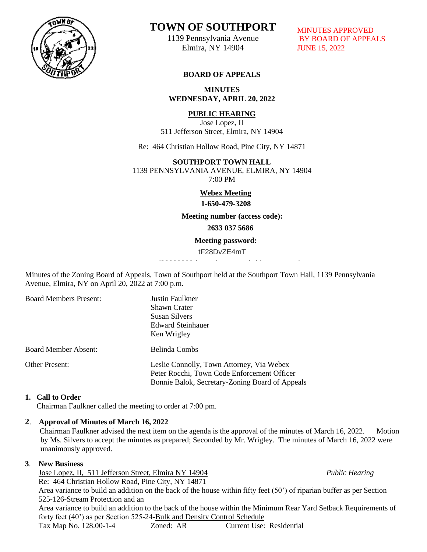

# **TOWN OF SOUTHPORT**

1139 Pennsylvania Avenue Elmira, NY 14904

MINUTES APPROVED BY BOARD OF APPEALS JUNE 15, 2022

# **BOARD OF APPEALS**

**MINUTES WEDNESDAY, APRIL 20, 2022**

# **PUBLIC HEARING**

Jose Lopez, II 511 Jefferson Street, Elmira, NY 14904

Re: 464 Christian Hollow Road, Pine City, NY 14871

## **SOUTHPORT TOWN HALL**

1139 PENNSYLVANIA AVENUE, ELMIRA, NY 14904 7:00 PM

 **Webex Meeting**

 **1-650-479-3208**

 **Meeting number (access code):** 

**2633 037 5686**

#### **Meeting password:**

tF28DvZE4mT

Minutes of the Zoning Board of Appeals, Town of Southport held at the Southport Town Hall, 1139 Pennsylvania  Avenue, Elmira, NY on April 20, 2022 at 7:00 p.m.

| <b>Board Members Present:</b> | Justin Faulkner<br>Shawn Crater<br>Susan Silvers<br><b>Edward Steinhauer</b><br>Ken Wrigley                                                 |
|-------------------------------|---------------------------------------------------------------------------------------------------------------------------------------------|
| <b>Board Member Absent:</b>   | Belinda Combs                                                                                                                               |
| Other Present:                | Leslie Connolly, Town Attorney, Via Webex<br>Peter Rocchi, Town Code Enforcement Officer<br>Bonnie Balok, Secretary-Zoning Board of Appeals |

## **1. Call to Order**

**Chairman Faulkner called the meeting to order at 7:00 pm.**  $\frac{1}{2}$  the meeting to order at  $100$  pm.

## **2**. **Approval of Minutes of March 16, 2022**

Chairman Faulkner advised the next item on the agenda is the approval of the minutes of March 16, 2022. Motion by Ms. Silvers to accept the minutes as prepared; Seconded by Mr. Wrigley. The minutes of March 16, 2022 were by Ms. Silvers to accept the minutes as prepared; Seconded by Mr. Wrigley. The minutes of March 16, 2022 were unanimously approved.  $\mathcal{L}_{1}$ - $G$ 

## **3**. **New Business**

**Jose Lopez, II, 511 Jefferson Street, Elmira NY 14904** *Public Hearing*  Re: 464 Christian Hollow Road, Pine City, NY 14871 Re: 404 Christian Honow Road, Pine City, N 1 14871<br>Area variance to build an addition on the back of the house within fifty feet (50') of riparian buffer as per Section 525-126-Stream Protection and an Area variance to build an addition to the back of the house within the Minimum Rear Yard Setback Requirements of forty feet (40') as per Section 525-24-Bulk and Density Control Schedule  $\alpha$  can addition on the back of the nouse within may feed (50)

Tax Map No. 128.00-1-4 Zoned: AR **Current Use: Residential**  $D = D$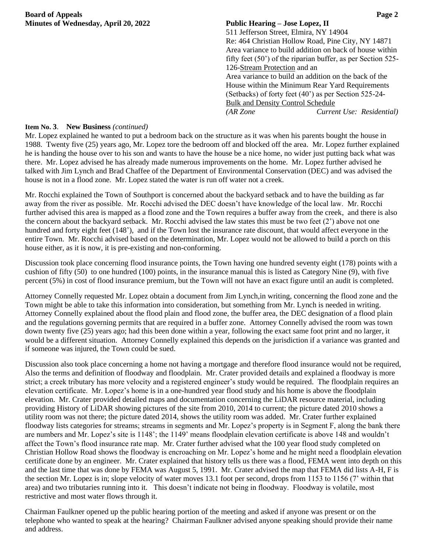**Board of Appeals Page 2 Minutes of Wednesday, April 20, 2022 Public Hearing – Jose Lopez, II**

511 Jefferson Street, Elmira, NY 14904 Re: 464 Christian Hollow Road, Pine City, NY 14871 Area variance to build addition on back of house within fifty feet (50') of the riparian buffer, as per Section 525- 126-Stream Protection and an Area variance to build an addition on the back of the House within the Minimum Rear Yard Requirements (Setbacks) of forty feet (40') as per Section 525-24- Bulk and Density Control Schedule *(AR Zone Current Use: Residential)*

## **Item No. 3**. **New Business** *(continued)*

Mr. Lopez explained he wanted to put a bedroom back on the structure as it was when his parents bought the house in 1988. Twenty five (25) years ago, Mr. Lopez tore the bedroom off and blocked off the area. Mr. Lopez further explained he is handing the house over to his son and wants to have the house be a nice home, no wider just putting back what was there. Mr. Lopez advised he has already made numerous improvements on the home. Mr. Lopez further advised he talked with Jim Lynch and Brad Chaffee of the Department of Environmental Conservation (DEC) and was advised the house is not in a flood zone. Mr. Lopez stated the water is run off water not a creek.

Mr. Rocchi explained the Town of Southport is concerned about the backyard setback and to have the building as far away from the river as possible. Mr. Rocchi advised the DEC doesn't have knowledge of the local law. Mr. Rocchi further advised this area is mapped as a flood zone and the Town requires a buffer away from the creek, and there is also the concern about the backyard setback. Mr. Rocchi advised the law states this must be two feet  $(2)$  above not one hundred and forty eight feet (148'), and if the Town lost the insurance rate discount, that would affect everyone in the entire Town. Mr. Rocchi advised based on the determination, Mr. Lopez would not be allowed to build a porch on this house either, as it is now, it is pre-existing and non-conforming.

Discussion took place concerning flood insurance points, the Town having one hundred seventy eight (178) points with a cushion of fifty (50) to one hundred (100) points, in the insurance manual this is listed as Category Nine (9), with five percent (5%) in cost of flood insurance premium, but the Town will not have an exact figure until an audit is completed.

Attorney Connelly requested Mr. Lopez obtain a document from Jim Lynch,in writing, concerning the flood zone and the Town might be able to take this information into consideration, but something from Mr. Lynch is needed in writing. Attorney Connelly explained about the flood plain and flood zone, the buffer area, the DEC designation of a flood plain and the regulations governing permits that are required in a buffer zone. Attorney Connelly advised the room was town down twenty five (25) years ago; had this been done within a year, following the exact same foot print and no larger, it would be a different situation. Attorney Connelly explained this depends on the jurisdiction if a variance was granted and if someone was injured, the Town could be sued.

Discussion also took place concerning a home not having a mortgage and therefore flood insurance would not be required, Also the terms and definition of floodway and floodplain. Mr. Crater provided details and explained a floodway is more strict; a creek tributary has more velocity and a registered engineer's study would be required. The floodplain requires an elevation certificate. Mr. Lopez's home is in a one-hundred year flood study and his home is above the floodplain elevation. Mr. Crater provided detailed maps and documentation concerning the LiDAR resource material, including providing History of LiDAR showing pictures of the site from 2010, 2014 to current; the picture dated 2010 shows a utility room was not there; the picture dated 2014, shows the utility room was added. Mr. Crater further explained floodway lists categories for streams; streams in segments and Mr. Lopez's property is in Segment F, along the bank there are numbers and Mr. Lopez's site is 1148'; the 1149' means floodplain elevation certificate is above 148 and wouldn't affect the Town's flood insurance rate map. Mr. Crater further advised what the 100 year flood study completed on Christian Hollow Road shows the floodway is encroaching on Mr. Lopez's home and he might need a floodplain elevation certificate done by an engineer. Mr. Crater explained that history tells us there was a flood, FEMA went into depth on this and the last time that was done by FEMA was August 5, 1991. Mr. Crater advised the map that FEMA did lists A-H, F is the section Mr. Lopez is in; slope velocity of water moves 13.1 foot per second, drops from 1153 to 1156 (7' within that area) and two tributaries running into it. This doesn't indicate not being in floodway. Floodway is volatile, most restrictive and most water flows through it.

Chairman Faulkner opened up the public hearing portion of the meeting and asked if anyone was present or on the telephone who wanted to speak at the hearing? Chairman Faulkner advised anyone speaking should provide their name and address.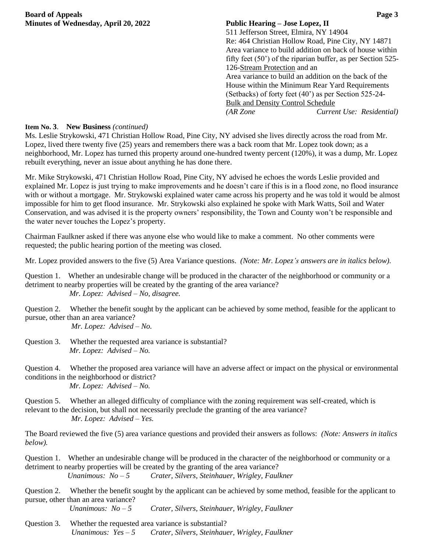**Board of Appeals Page 3 Minutes of Wednesday, April 20, 2022 Public Hearing – Jose Lopez, II**

511 Jefferson Street, Elmira, NY 14904 Re: 464 Christian Hollow Road, Pine City, NY 14871 Area variance to build addition on back of house within fifty feet (50') of the riparian buffer, as per Section 525- 126-Stream Protection and an Area variance to build an addition on the back of the House within the Minimum Rear Yard Requirements (Setbacks) of forty feet (40') as per Section 525-24- Bulk and Density Control Schedule *(AR Zone Current Use: Residential)*

## **Item No. 3**. **New Business** *(continued)*

Ms. Leslie Strykowski, 471 Christian Hollow Road, Pine City, NY advised she lives directly across the road from Mr. Lopez, lived there twenty five (25) years and remembers there was a back room that Mr. Lopez took down; as a neighborhood, Mr. Lopez has turned this property around one-hundred twenty percent (120%), it was a dump, Mr. Lopez rebuilt everything, never an issue about anything he has done there.

Mr. Mike Strykowski, 471 Christian Hollow Road, Pine City, NY advised he echoes the words Leslie provided and explained Mr. Lopez is just trying to make improvements and he doesn't care if this is in a flood zone, no flood insurance with or without a mortgage. Mr. Strykowski explained water came across his property and he was told it would be almost impossible for him to get flood insurance. Mr. Strykowski also explained he spoke with Mark Watts, Soil and Water Conservation, and was advised it is the property owners' responsibility, the Town and County won't be responsible and the water never touches the Lopez's property.

Chairman Faulkner asked if there was anyone else who would like to make a comment. No other comments were requested; the public hearing portion of the meeting was closed.

Mr. Lopez provided answers to the five (5) Area Variance questions. *(Note: Mr. Lopez's answers are in italics below).* 

- Question 1. Whether an undesirable change will be produced in the character of the neighborhood or community or a detriment to nearby properties will be created by the granting of the area variance?  *Mr. Lopez: Advised – No, disagree.*
- Question 2. Whether the benefit sought by the applicant can be achieved by some method, feasible for the applicant to pursue, other than an area variance?

*Mr. Lopez: Advised – No.*

- Question 3. Whether the requested area variance is substantial?  *Mr. Lopez: Advised – No.*
- Question 4. Whether the proposed area variance will have an adverse affect or impact on the physical or environmental conditions in the neighborhood or district?  *Mr. Lopez: Advised – No.*
- Question 5. Whether an alleged difficulty of compliance with the zoning requirement was self-created, which is relevant to the decision, but shall not necessarily preclude the granting of the area variance?  *Mr. Lopez: Advised – Yes.*

The Board reviewed the five (5) area variance questions and provided their answers as follows: *(Note: Answers in italics below).*

Question 1. Whether an undesirable change will be produced in the character of the neighborhood or community or a detriment to nearby properties will be created by the granting of the area variance?  *Unanimous: No – 5 Crater, Silvers, Steinhauer, Wrigley, Faulkner*

Question 2. Whether the benefit sought by the applicant can be achieved by some method, feasible for the applicant to pursue, other than an area variance?

*Unanimous: No – 5 Crater, Silvers, Steinhauer, Wrigley, Faulkner*

Question 3. Whether the requested area variance is substantial? *Unanimous: Yes – 5 Crater, Silvers, Steinhauer, Wrigley, Faulkner*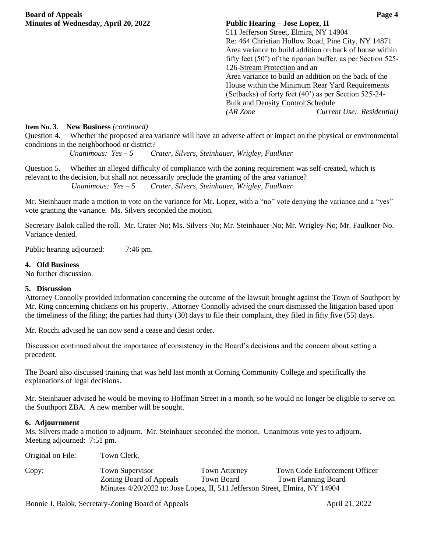511 Jefferson Street, Elmira, NY 14904 Re: 464 Christian Hollow Road, Pine City, NY 14871 Area variance to build addition on back of house within fifty feet (50') of the riparian buffer, as per Section 525- 126-Stream Protection and an Area variance to build an addition on the back of the House within the Minimum Rear Yard Requirements (Setbacks) of forty feet (40') as per Section 525-24- Bulk and Density Control Schedule *(AR Zone Current Use: Residential)*

## **Item No. 3**. **New Business** *(continued)*

Question 4. Whether the proposed area variance will have an adverse affect or impact on the physical or environmental conditions in the neighborhood or district?

*Unanimous: Yes – 5 Crater, Silvers, Steinhauer, Wrigley, Faulkner*

Question 5. Whether an alleged difficulty of compliance with the zoning requirement was self-created, which is relevant to the decision, but shall not necessarily preclude the granting of the area variance? *Unanimous: Yes – 5 Crater, Silvers, Steinhauer, Wrigley, Faulkner*

Mr. Steinhauer made a motion to vote on the variance for Mr. Lopez, with a "no" vote denying the variance and a "yes" vote granting the variance. Ms. Silvers seconded the motion.

Secretary Balok called the roll. Mr. Crater-No; Ms. Silvers-No; Mr. Steinhauer-No; Mr. Wrigley-No; Mr. Faulkner-No. Variance denied.

Public hearing adjourned: 7:46 pm.

## **4. Old Business**

No further discussion.

## **5. Discussion**

Attorney Connolly provided information concerning the outcome of the lawsuit brought against the Town of Southport by Mr. Ring concerning chickens on his property. Attorney Connolly advised the court dismissed the litigation based upon the timeliness of the filing; the parties had thirty (30) days to file their complaint, they filed in fifty five (55) days.

Mr. Rocchi advised he can now send a cease and desist order.

Discussion continued about the importance of consistency in the Board's decisions and the concern about setting a precedent.

The Board also discussed training that was held last month at Corning Community College and specifically the explanations of legal decisions.

Mr. Steinhauer advised he would be moving to Hoffman Street in a month, so he would no longer be eligible to serve on the Southport ZBA. A new member will be sought.

## **6. Adjournment**

Ms. Silvers made a motion to adjourn. Mr. Steinhauer seconded the motion. Unanimous vote yes to adjourn. Meeting adjourned: 7:51 pm.

Original on File: Town Clerk, Copy: Town Supervisor Town Attorney Town Code Enforcement Officer Zoning Board of Appeals Town Board Town Planning Board Minutes 4/20/2022 to: Jose Lopez, II, 511 Jefferson Street, Elmira, NY 14904

Bonnie J. Balok, Secretary-Zoning Board of Appeals April 21, 2022